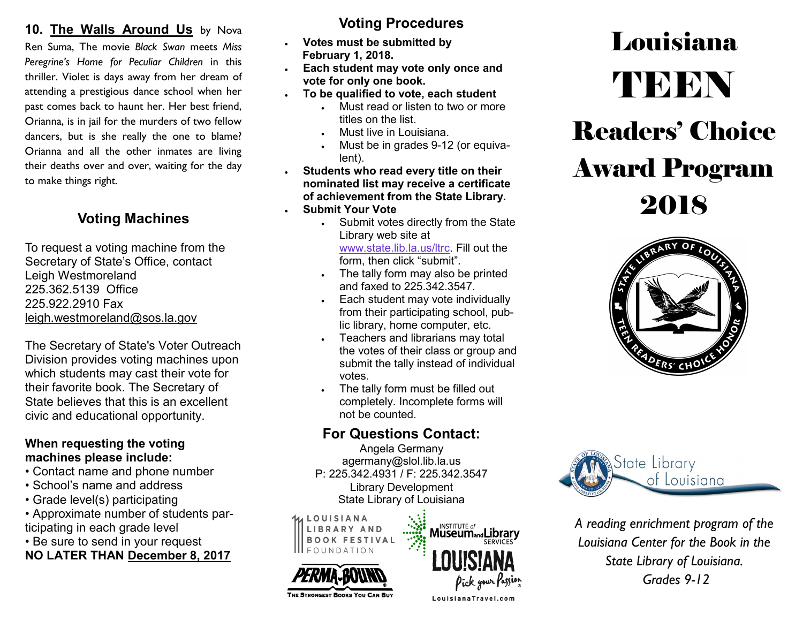#### 10. The Walls Around Us by Nova

Ren Suma, The movie *Black Swan* meets *Miss Peregrine's Home for Peculiar Children* in this thriller. Violet is days away from her dream of attending a prestigious dance school when her past comes back to haunt her. Her best friend, Orianna, is in jail for the murders of two fellow dancers, but is she really the one to blame? Orianna and all the other inmates are living their deaths over and over, waiting for the day to make things right.

To request a voting machine from the Secretary of State's Office, contact Leigh Westmoreland 225.362.5139 Office 225.922.2910 Fax [leigh.westmoreland@sos.la.gov](mailto:leigh.westmoreland@sos.la.gov)

The Secretary of State's Voter Outreach Division provides voting machines upon which students may cast their vote for their favorite book. The Secretary of State believes that this is an excellent civic and educational opportunity.

#### **When requesting the voting machines please include:**

- Contact name and phone number
- School's name and address
- Grade level(s) participating
- Approximate number of students participating in each grade level
- Be sure to send in your request **NO LATER THAN December 8, 2017**

#### **Voting Procedures**

- **Votes must be submitted by February 1, 2018.**
- **Each student may vote only once and vote for only one book.**
- **To be qualified to vote, each student**
	- Must read or listen to two or more titles on the list.
	- Must live in Louisiana.
	- Must be in grades 9-12 (or equivalent).
- **Students who read every title on their nominated list may receive a certificate of achievement from the State Library.** 2018 **Voting Machines**
	- **Submit Your Vote**
		- . Submit votes directly from the State Library web site at [www.state.lib.la.us/ltrc.](http://www.state.lib.la.us/ltrc) Fill out the form, then click "submit".
		- . The tally form may also be printed and faxed to 225.342.3547.
		- Each student may vote individually from their participating school, public library, home computer, etc.
		- Teachers and librarians may total the votes of their class or group and submit the tally instead of individual votes.
		- The tally form must be filled out completely. Incomplete forms will not be counted.

### **For Questions Contact:**

Angela Germany agermany@slol.lib.la.us P: 225.342.4931 / F: 225.342.3547 Library Development State Library of Louisiana

LOUISIANA

THE STRONGEST BOOKS YOU CAN BUY



# **Louisiana** TEEN Readers' Choice Award Program





*A reading enrichment program of the Louisiana Center for the Book in the State Library of Louisiana. Grades 9-12*